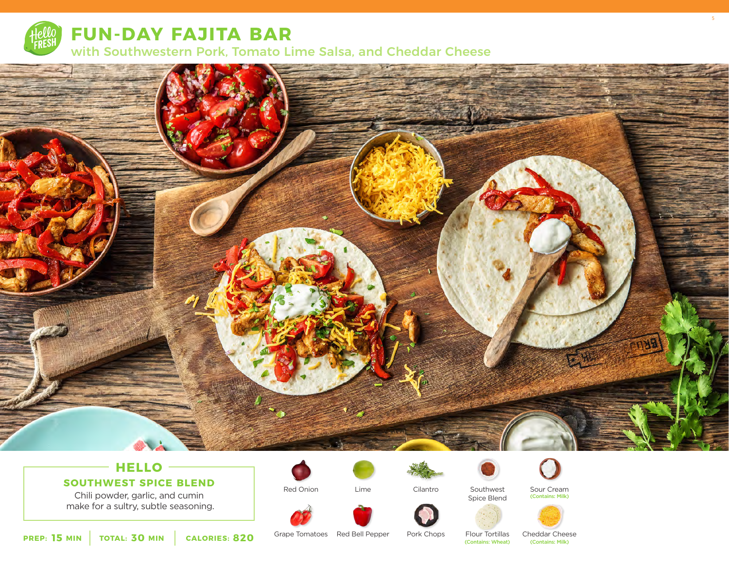

**FUN-DAY FAJITA BAR**

with Southwestern Pork, Tomato Lime Salsa, and Cheddar Cheese



# **HELLO**

**SOUTHWEST SPICE BLEND**

Chili powder, garlic, and cumin make for a sultry, subtle seasoning.



Red Onion

Lime



Southwest Spice Blend



Sour Cream (Contains: Milk) 5







**15 MIN** | TOTAL: **30 MIN** | CALORIES: **820** 

Grape Tomatoes Red Bell Pepper

Pork Chops

Cilantro

Flour Tortillas (Contains: Wheat)

Cheddar Cheese<br>(Contains: Milk)